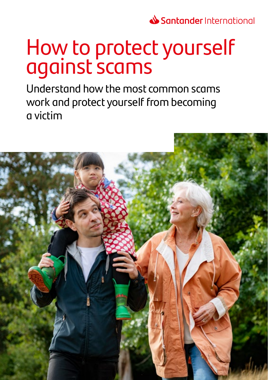Santander International

# How to protect yourself against scams

Understand how the most common scams work and protect yourself from becoming a victim

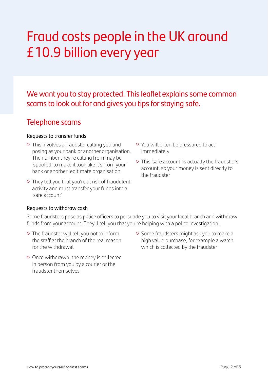## Fraud costs people in the UK around £10.9 billion every year

We want you to stay protected. This leaflet explains some common scams to look out for and gives you tips for staying safe.

### Telephone scams

#### Requests to transfer funds

- **o** This involves a fraudster calling you and posing as your bank or another organisation. The number they're calling from may be 'spoofed' to make it look like it's from your bank or another legitimate organisation
- o They tell you that you're at risk of fraudulent activity and must transfer your funds into a 'safe account'
- **o** You will often be pressured to act immediately
- { This 'safe account' is actually the fraudster's account, so your money is sent directly to the fraudster

#### Requests to withdraw cash

Some fraudsters pose as police officers to persuade you to visit your local branch and withdraw funds from your account. They'll tell you that you're helping with a police investigation.

- <sup>o</sup> The fraudster will tell you not to inform the staff at the branch of the real reason for the withdrawal
- <sup>o</sup> Once withdrawn, the money is collected in person from you by a courier or the fraudster themselves
- **o** Some fraudsters might ask you to make a high value purchase, for example a watch, which is collected by the fraudster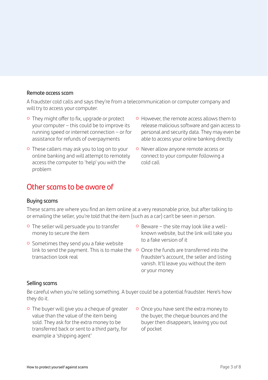#### Remote access scam

A fraudster cold calls and says they're from a telecommunication or computer company and will try to access your computer.

- <sup>o</sup> They might offer to fix, upgrade or protect your computer – this could be to improve its running speed or internet connection – or for assistance for refunds of overpayments
- { These callers may ask you to log on to your online banking and will attempt to remotely access the computer to 'help' you with the problem
- <sup>o</sup> However, the remote access allows them to release malicious software and gain access to personal and security data. They may even be able to access your online banking directly
- **o** Never allow anyone remote access or connect to your computer following a cold call

### Other scams to be aware of

#### Buying scams

These scams are where you find an item online at a very reasonable price, but after talking to or emailing the seller, you're told that the item (such as a car) can't be seen in person.

- o The seller will persuade you to transfer money to secure the item
- **o** Sometimes they send you a fake website link to send the payment. This is to make the  $\;\circ\;$  Once the funds are transferred into the transaction look real
- $\circ$  Beware the site may look like a wellknown website, but the link will take you to a fake version of it
	- fraudster's account, the seller and listing vanish. It'll leave you without the item or your money

#### Selling scams

Be careful when you're selling something. A buyer could be a potential fraudster. Here's how they do it.

- <sup>o</sup> The buyer will give you a cheque of greater value than the value of the item being sold. They ask for the extra money to be transferred back or sent to a third party, for example a 'shipping agent'
- <sup>o</sup> Once you have sent the extra money to the buyer, the cheque bounces and the buyer then disappears, leaving you out of pocket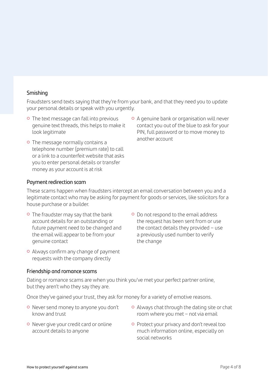#### Smishing

Fraudsters send texts saying that they're from your bank, and that they need you to update your personal details or speak with you urgently.

- <sup>o</sup> The text message can fall into previous genuine text threads, this helps to make it look legitimate
- **o** The message normally contains a telephone number (premium rate) to call or a link to a counterfeit website that asks you to enter personal details or transfer money as your account is at risk
- <sup>o</sup> A genuine bank or organisation will never contact you out of the blue to ask for your PIN, full password or to move money to another account

#### Payment redirection scam

These scams happen when fraudsters intercept an email conversation between you and a legitimate contact who may be asking for payment for goods or services, like solicitors for a house purchase or a builder.

- **o** The fraudster may say that the bank account details for an outstanding or future payment need to be changed and the email will appear to be from your genuine contact
- { Do not respond to the email address the request has been sent from or use the contact details they provided – use a previously used number to verify the change
- **Always confirm any change of payment** requests with the company directly

#### Friendship and romance scams

Dating or romance scams are when you think you've met your perfect partner online, but they aren't who they say they are.

Once they've gained your trust, they ask for money for a variety of emotive reasons.

- { Never send money to anyone you don't know and trust
- { Never give your credit card or online account details to anyone
- **o** Always chat through the dating site or chat room where you met – not via email
- **o** Protect your privacy and don't reveal too much information online, especially on social networks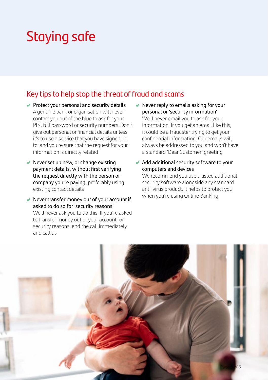## Staying safe

## Key tips to help stop the threat of fraud and scams

- $\vee$  Protect your personal and security details A genuine bank or organisation will never contact you out of the blue to ask for your PIN, full password or security numbers. Don't give out personal or financial details unless it's to use a service that you have signed up to, and you're sure that the request for your information is directly related
- $\vee$  Never set up new, or change existing payment details, without first verifying the request directly with the person or company you're paying, preferably using existing contact details
- $\vee$  Never transfer money out of your account if asked to do so for 'security reasons' We'll never ask you to do this. If you're asked to transfer money out of your account for security reasons, end the call immediately and call us
- $\vee$  Never reply to emails asking for your personal or 'security information' We'll never email you to ask for your information. If you get an email like this, it could be a fraudster trying to get your confidential information. Our emails will always be addressed to you and won't have a standard 'Dear Customer' greeting
- $\blacktriangleright$  Add additional security software to your computers and devices

We recommend you use trusted additional security software alongside any standard anti-virus product. It helps to protect you when you're using Online Banking

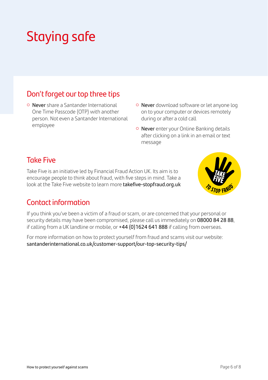## Staying safe

## Don't forget our top three tips

- **O** Never share a Santander International One Time Passcode (OTP) with another person. Not even a Santander International employee
- **O** Never download software or let anyone log on to your computer or devices remotely during or after a cold call
- **O** Never enter your Online Banking details after clicking on a link in an email or text message

## Take Five

Take Five is an initiative led by Financial Fraud Action UK. Its aim is to encourage people to think about fraud, with five steps in mind. Take a look at the Take Five website to learn more takefive-stopfraud.org.uk



## Contact information

If you think you've been a victim of a fraud or scam, or are concerned that your personal or security details may have been compromised, please call us immediately on 08000 84 28 88, if calling from a UK landline or mobile, or  $+44$  (0)1624 641 888 if calling from overseas.

For more information on how to protect yourself from fraud and scams visit our website: [santanderinternational.co.uk/customer-support/our-top-security-tips/](https://www.santanderinternational.co.uk/customer-support/our-top-security-tips/)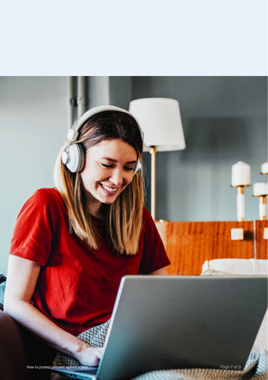